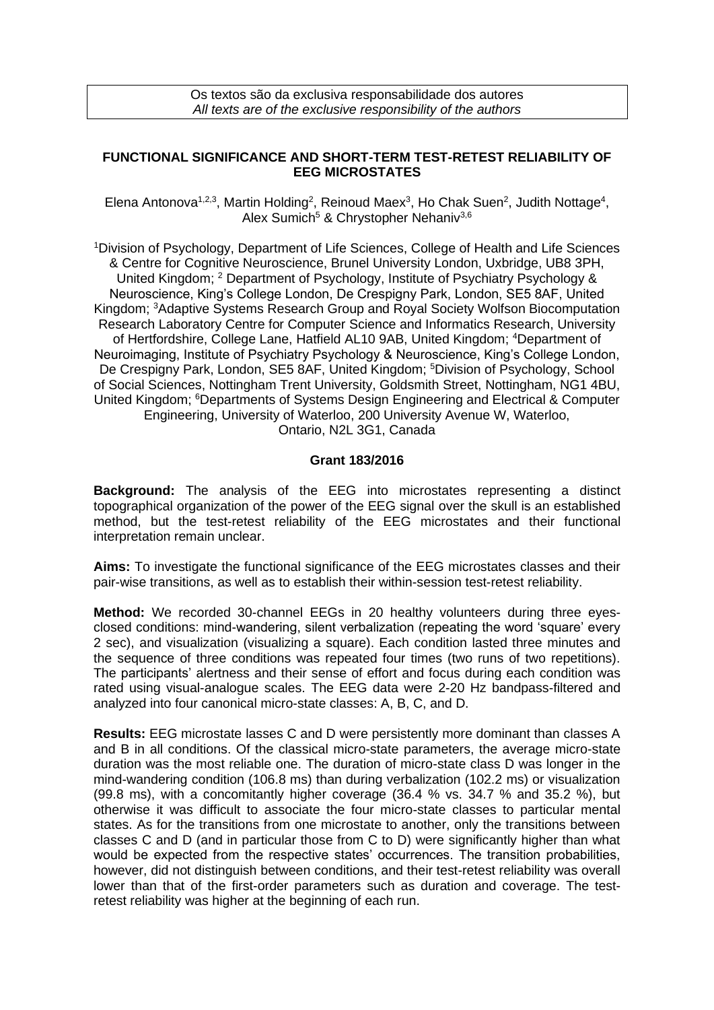Os textos são da exclusiva responsabilidade dos autores *All texts are of the exclusive responsibility of the authors*

## **FUNCTIONAL SIGNIFICANCE AND SHORT-TERM TEST-RETEST RELIABILITY OF EEG MICROSTATES**

Elena Antonova<sup>1,2,3</sup>, Martin Holding<sup>2</sup>, Reinoud Maex<sup>3</sup>, Ho Chak Suen<sup>2</sup>, Judith Nottage<sup>4</sup>, Alex Sumich<sup>5</sup> & Chrystopher Nehaniv<sup>3,6</sup>

<sup>1</sup>Division of Psychology, Department of Life Sciences, College of Health and Life Sciences & Centre for Cognitive Neuroscience, Brunel University London, Uxbridge, UB8 3PH, United Kingdom; <sup>2</sup> Department of Psychology, Institute of Psychiatry Psychology & Neuroscience, King's College London, De Crespigny Park, London, SE5 8AF, United Kingdom; <sup>3</sup>Adaptive Systems Research Group and Royal Society Wolfson Biocomputation Research Laboratory Centre for Computer Science and Informatics Research, University of Hertfordshire, College Lane, Hatfield AL10 9AB, United Kingdom; <sup>4</sup>Department of Neuroimaging, Institute of Psychiatry Psychology & Neuroscience, King's College London, De Crespigny Park, London, SE5 8AF, United Kingdom; <sup>5</sup>Division of Psychology, School of Social Sciences, Nottingham Trent University, Goldsmith Street, Nottingham, NG1 4BU, United Kingdom; <sup>6</sup>Departments of Systems Design Engineering and Electrical & Computer Engineering, University of Waterloo, 200 University Avenue W, Waterloo, Ontario, N2L 3G1, Canada

## **Grant 183/2016**

**Background:** The analysis of the EEG into microstates representing a distinct topographical organization of the power of the EEG signal over the skull is an established method, but the test-retest reliability of the EEG microstates and their functional interpretation remain unclear.

**Aims:** To investigate the functional significance of the EEG microstates classes and their pair-wise transitions, as well as to establish their within-session test-retest reliability.

**Method:** We recorded 30-channel EEGs in 20 healthy volunteers during three eyesclosed conditions: mind-wandering, silent verbalization (repeating the word 'square' every 2 sec), and visualization (visualizing a square). Each condition lasted three minutes and the sequence of three conditions was repeated four times (two runs of two repetitions). The participants' alertness and their sense of effort and focus during each condition was rated using visual-analogue scales. The EEG data were 2-20 Hz bandpass-filtered and analyzed into four canonical micro-state classes: A, B, C, and D.

**Results:** EEG microstate lasses C and D were persistently more dominant than classes A and B in all conditions. Of the classical micro-state parameters, the average micro-state duration was the most reliable one. The duration of micro-state class D was longer in the mind-wandering condition (106.8 ms) than during verbalization (102.2 ms) or visualization (99.8 ms), with a concomitantly higher coverage (36.4 % vs. 34.7 % and 35.2 %), but otherwise it was difficult to associate the four micro-state classes to particular mental states. As for the transitions from one microstate to another, only the transitions between classes C and D (and in particular those from C to D) were significantly higher than what would be expected from the respective states' occurrences. The transition probabilities, however, did not distinguish between conditions, and their test-retest reliability was overall lower than that of the first-order parameters such as duration and coverage. The testretest reliability was higher at the beginning of each run.